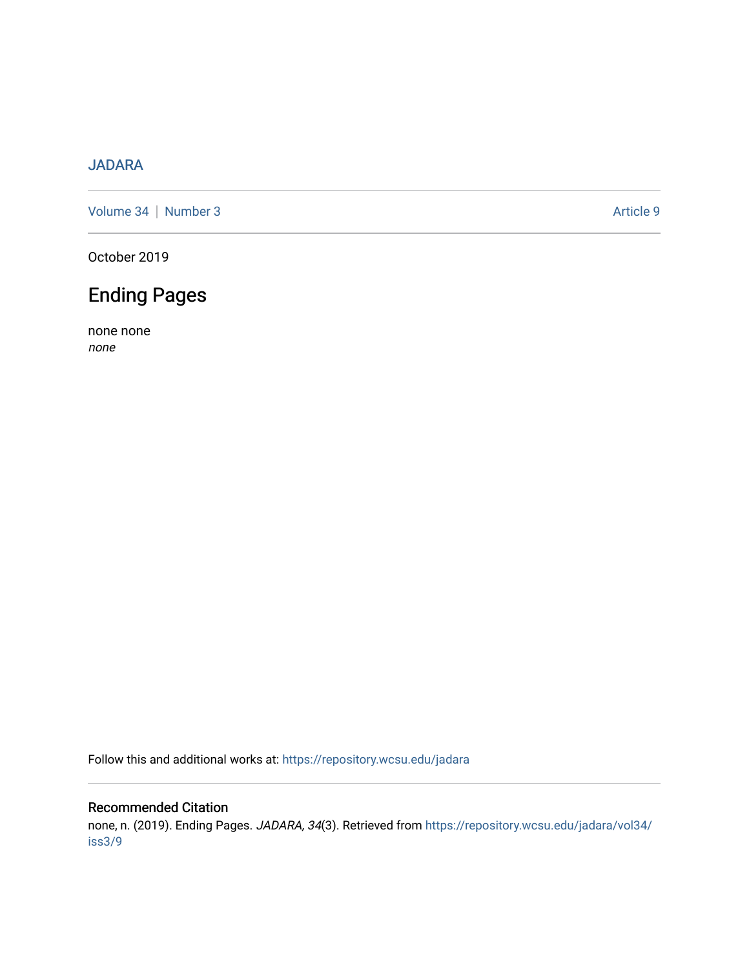## [JADARA](https://repository.wcsu.edu/jadara)

[Volume 34](https://repository.wcsu.edu/jadara/vol34) | [Number 3](https://repository.wcsu.edu/jadara/vol34/iss3) Article 9

October 2019

## Ending Pages

none none none

Follow this and additional works at: [https://repository.wcsu.edu/jadara](https://repository.wcsu.edu/jadara?utm_source=repository.wcsu.edu%2Fjadara%2Fvol34%2Fiss3%2F9&utm_medium=PDF&utm_campaign=PDFCoverPages)

## Recommended Citation

none, n. (2019). Ending Pages. JADARA, 34(3). Retrieved from [https://repository.wcsu.edu/jadara/vol34/](https://repository.wcsu.edu/jadara/vol34/iss3/9?utm_source=repository.wcsu.edu%2Fjadara%2Fvol34%2Fiss3%2F9&utm_medium=PDF&utm_campaign=PDFCoverPages) [iss3/9](https://repository.wcsu.edu/jadara/vol34/iss3/9?utm_source=repository.wcsu.edu%2Fjadara%2Fvol34%2Fiss3%2F9&utm_medium=PDF&utm_campaign=PDFCoverPages)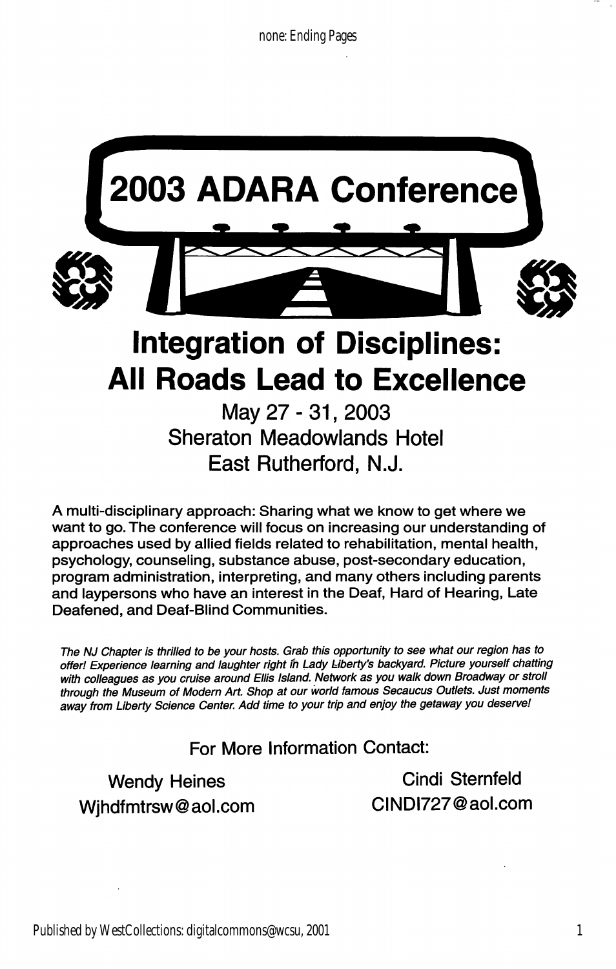

A multi-disciplinary approach: Sharing what we know to get where we want to go. The conference will focus on increasing our understanding of approaches used by allied fields related to rehabilitation, mental health, psychology, counseling, substance abuse, post-secondary education, program administration, interpreting, and many others including parents and laypersons who have an interest in the Deaf, Hard of Hearing, Late Deafened, and Deaf-Blind Communities.

The NJ Chapter is thrilled to be your hosts. Grab this opportunity to see what our region has to offer! Experience learning and laughter right in Lady Liberty's backyard. Picture yourself chatting with colleagues as you cruise around Ellis Island. Network as you walk down Broadway or stroll through the Museum of Modern Art. Shop at our world famous Secaucus Outlets. Just moments away from Liberty Science Center. Add time to your trip and enjoy the getaway you deserve!

For More Information Contact:

Wjhdfmtrsw@aol.com CINDI727@aol.com

Wendy Heines **Cindi Sternfeld**